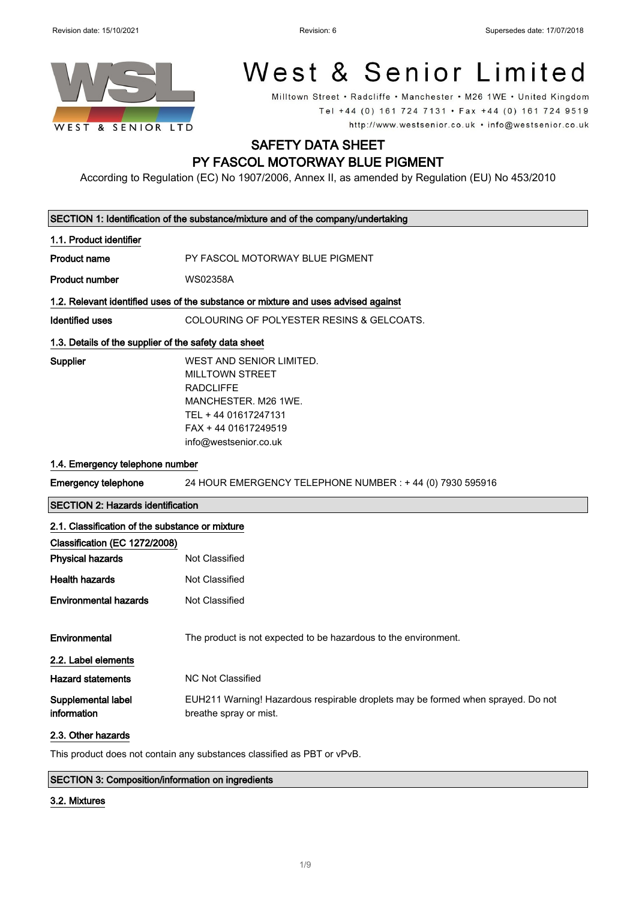

# West & Senior Limited

Milltown Street • Radcliffe • Manchester • M26 1WE • United Kingdom Tel +44 (0) 161 724 7131 · Fax +44 (0) 161 724 9519 http://www.westsenior.co.uk • info@westsenior.co.uk

# SAFETY DATA SHEET PY FASCOL MOTORWAY BLUE PIGMENT

According to Regulation (EC) No 1907/2006, Annex II, as amended by Regulation (EU) No 453/2010

|                                                                                               | SECTION 1: Identification of the substance/mixture and of the company/undertaking                                                                                       |  |
|-----------------------------------------------------------------------------------------------|-------------------------------------------------------------------------------------------------------------------------------------------------------------------------|--|
| 1.1. Product identifier                                                                       |                                                                                                                                                                         |  |
| <b>Product name</b>                                                                           | PY FASCOL MOTORWAY BLUE PIGMENT                                                                                                                                         |  |
| <b>Product number</b>                                                                         | <b>WS02358A</b>                                                                                                                                                         |  |
| 1.2. Relevant identified uses of the substance or mixture and uses advised against            |                                                                                                                                                                         |  |
| <b>Identified uses</b>                                                                        | COLOURING OF POLYESTER RESINS & GELCOATS.                                                                                                                               |  |
| 1.3. Details of the supplier of the safety data sheet                                         |                                                                                                                                                                         |  |
| Supplier                                                                                      | WEST AND SENIOR LIMITED.<br><b>MILLTOWN STREET</b><br><b>RADCLIFFE</b><br>MANCHESTER. M26 1WE.<br>TEL + 44 01617247131<br>FAX + 44 01617249519<br>info@westsenior.co.uk |  |
| 1.4. Emergency telephone number                                                               |                                                                                                                                                                         |  |
| <b>Emergency telephone</b>                                                                    | 24 HOUR EMERGENCY TELEPHONE NUMBER : +44 (0) 7930 595916                                                                                                                |  |
| <b>SECTION 2: Hazards identification</b>                                                      |                                                                                                                                                                         |  |
| 2.1. Classification of the substance or mixture                                               |                                                                                                                                                                         |  |
| Classification (EC 1272/2008)                                                                 |                                                                                                                                                                         |  |
| <b>Physical hazards</b>                                                                       | Not Classified                                                                                                                                                          |  |
| <b>Health hazards</b>                                                                         | Not Classified                                                                                                                                                          |  |
| <b>Environmental hazards</b>                                                                  | Not Classified                                                                                                                                                          |  |
| Environmental<br>2.2. Label elements                                                          | The product is not expected to be hazardous to the environment.                                                                                                         |  |
| <b>Hazard statements</b>                                                                      | <b>NC Not Classified</b>                                                                                                                                                |  |
| Supplemental label<br>information                                                             | EUH211 Warning! Hazardous respirable droplets may be formed when sprayed. Do not<br>breathe spray or mist.                                                              |  |
| 2.3. Other hazards<br>This product does not contain any substances classified as PBT or vPvB. |                                                                                                                                                                         |  |
|                                                                                               | $CCTON9$ . Composition information on ingradiants                                                                                                                       |  |

#### SECTION 3: Composition/information on ingredients

#### 3.2. Mixtures

 $\Bigg]$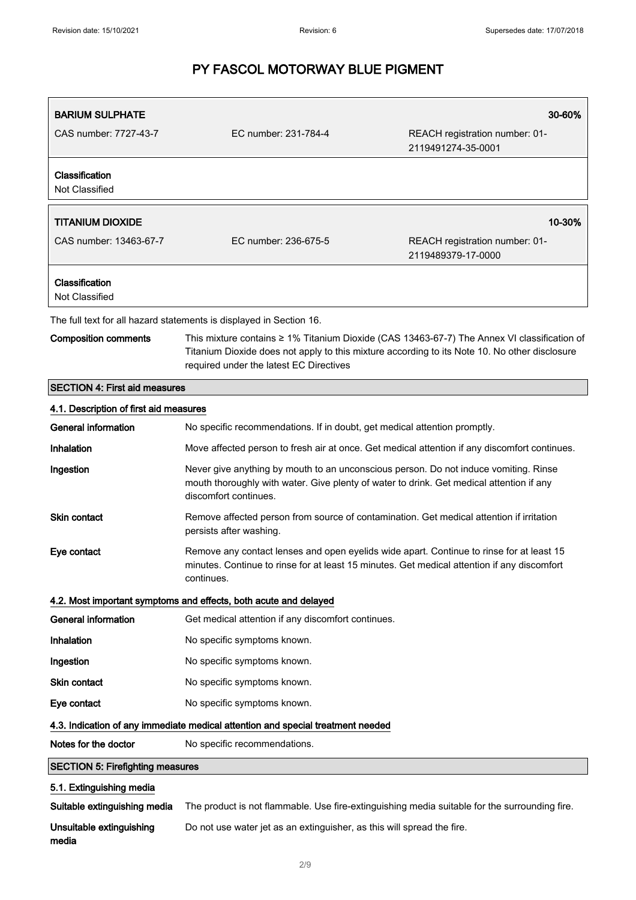| <b>BARIUM SULPHATE</b>                 |                                                                                                                                                                                                                                         | 30-60%                                               |  |
|----------------------------------------|-----------------------------------------------------------------------------------------------------------------------------------------------------------------------------------------------------------------------------------------|------------------------------------------------------|--|
| CAS number: 7727-43-7                  | EC number: 231-784-4                                                                                                                                                                                                                    | REACH registration number: 01-<br>2119491274-35-0001 |  |
| Classification<br>Not Classified       |                                                                                                                                                                                                                                         |                                                      |  |
| <b>TITANIUM DIOXIDE</b>                |                                                                                                                                                                                                                                         | 10-30%                                               |  |
| CAS number: 13463-67-7                 | EC number: 236-675-5                                                                                                                                                                                                                    | REACH registration number: 01-<br>2119489379-17-0000 |  |
| Classification<br>Not Classified       |                                                                                                                                                                                                                                         |                                                      |  |
|                                        | The full text for all hazard statements is displayed in Section 16.                                                                                                                                                                     |                                                      |  |
| <b>Composition comments</b>            | This mixture contains ≥ 1% Titanium Dioxide (CAS 13463-67-7) The Annex VI classification of<br>Titanium Dioxide does not apply to this mixture according to its Note 10. No other disclosure<br>required under the latest EC Directives |                                                      |  |
| <b>SECTION 4: First aid measures</b>   |                                                                                                                                                                                                                                         |                                                      |  |
| 4.1. Description of first aid measures |                                                                                                                                                                                                                                         |                                                      |  |
| <b>General information</b>             | No specific recommendations. If in doubt, get medical attention promptly.                                                                                                                                                               |                                                      |  |
| Inhalation                             | Move affected person to fresh air at once. Get medical attention if any discomfort continues.                                                                                                                                           |                                                      |  |
| Ingestion                              | Never give anything by mouth to an unconscious person. Do not induce vomiting. Rinse<br>mouth thoroughly with water. Give plenty of water to drink. Get medical attention if any<br>discomfort continues.                               |                                                      |  |
| Skin contact                           | Remove affected person from source of contamination. Get medical attention if irritation<br>persists after washing.                                                                                                                     |                                                      |  |
| Eye contact                            | Remove any contact lenses and open eyelids wide apart. Continue to rinse for at least 15<br>minutes. Continue to rinse for at least 15 minutes. Get medical attention if any discomfort<br>continues.                                   |                                                      |  |
|                                        | 4.2. Most important symptoms and effects, both acute and delayed                                                                                                                                                                        |                                                      |  |
| <b>General information</b>             | Get medical attention if any discomfort continues.                                                                                                                                                                                      |                                                      |  |
| Inhalation                             | No specific symptoms known.                                                                                                                                                                                                             |                                                      |  |
| Ingestion                              | No specific symptoms known.                                                                                                                                                                                                             |                                                      |  |
| Skin contact                           | No specific symptoms known.                                                                                                                                                                                                             |                                                      |  |
| Eye contact                            | No specific symptoms known.                                                                                                                                                                                                             |                                                      |  |

### 4.3. Indication of any immediate medical attention and special treatment needed

| Notes for the doctor | No specific recommendations. |
|----------------------|------------------------------|
|                      |                              |

# SECTION 5: Firefighting measures

# 5.1. Extinguishing media

Suitable extinguishing media The product is not flammable. Use fire-extinguishing media suitable for the surrounding fire.

Unsuitable extinguishing media Do not use water jet as an extinguisher, as this will spread the fire.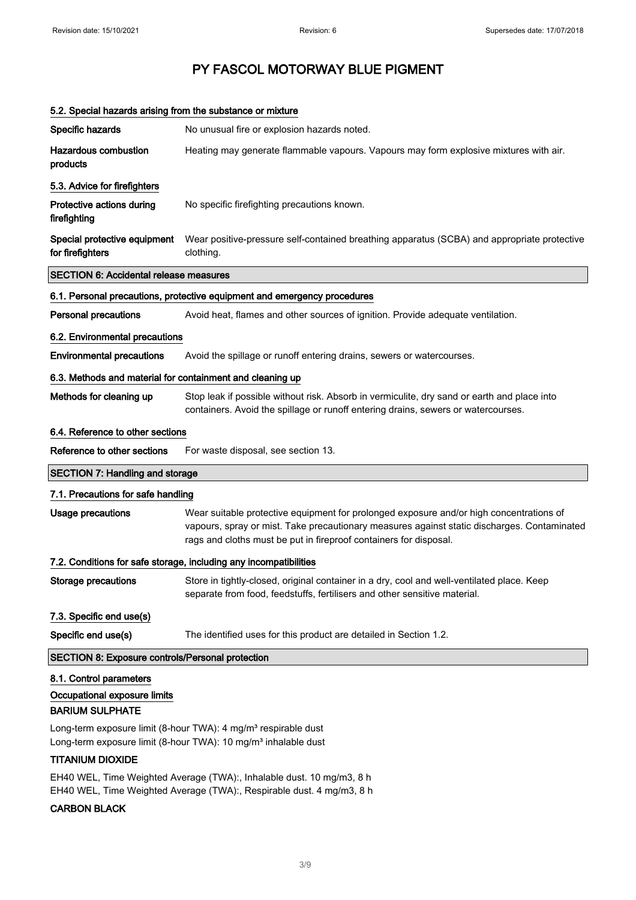|                                                           | 5.2. Special hazards arising from the substance or mixture                                                                                                                                                                                                  |
|-----------------------------------------------------------|-------------------------------------------------------------------------------------------------------------------------------------------------------------------------------------------------------------------------------------------------------------|
| Specific hazards                                          | No unusual fire or explosion hazards noted.                                                                                                                                                                                                                 |
| <b>Hazardous combustion</b><br>products                   | Heating may generate flammable vapours. Vapours may form explosive mixtures with air.                                                                                                                                                                       |
| 5.3. Advice for firefighters                              |                                                                                                                                                                                                                                                             |
| Protective actions during<br>firefighting                 | No specific firefighting precautions known.                                                                                                                                                                                                                 |
| Special protective equipment<br>for firefighters          | Wear positive-pressure self-contained breathing apparatus (SCBA) and appropriate protective<br>clothing.                                                                                                                                                    |
| <b>SECTION 6: Accidental release measures</b>             |                                                                                                                                                                                                                                                             |
|                                                           | 6.1. Personal precautions, protective equipment and emergency procedures                                                                                                                                                                                    |
| <b>Personal precautions</b>                               | Avoid heat, flames and other sources of ignition. Provide adequate ventilation.                                                                                                                                                                             |
| 6.2. Environmental precautions                            |                                                                                                                                                                                                                                                             |
| <b>Environmental precautions</b>                          | Avoid the spillage or runoff entering drains, sewers or watercourses.                                                                                                                                                                                       |
| 6.3. Methods and material for containment and cleaning up |                                                                                                                                                                                                                                                             |
| Methods for cleaning up                                   | Stop leak if possible without risk. Absorb in vermiculite, dry sand or earth and place into<br>containers. Avoid the spillage or runoff entering drains, sewers or watercourses.                                                                            |
| 6.4. Reference to other sections                          |                                                                                                                                                                                                                                                             |
| Reference to other sections                               | For waste disposal, see section 13.                                                                                                                                                                                                                         |
| <b>SECTION 7: Handling and storage</b>                    |                                                                                                                                                                                                                                                             |
|                                                           |                                                                                                                                                                                                                                                             |
| 7.1. Precautions for safe handling                        |                                                                                                                                                                                                                                                             |
| Usage precautions                                         | Wear suitable protective equipment for prolonged exposure and/or high concentrations of<br>vapours, spray or mist. Take precautionary measures against static discharges. Contaminated<br>rags and cloths must be put in fireproof containers for disposal. |
|                                                           | 7.2. Conditions for safe storage, including any incompatibilities                                                                                                                                                                                           |
| Storage precautions                                       | Store in tightly-closed, original container in a dry, cool and well-ventilated place. Keep<br>separate from food, feedstuffs, fertilisers and other sensitive material.                                                                                     |
| 7.3. Specific end use(s)                                  |                                                                                                                                                                                                                                                             |
| Specific end use(s)                                       | The identified uses for this product are detailed in Section 1.2.                                                                                                                                                                                           |
| <b>SECTION 8: Exposure controls/Personal protection</b>   |                                                                                                                                                                                                                                                             |
| 8.1. Control parameters                                   |                                                                                                                                                                                                                                                             |
| Occupational exposure limits<br><b>BARIUM SULPHATE</b>    |                                                                                                                                                                                                                                                             |
|                                                           | Long-term exposure limit (8-hour TWA): 4 mg/m <sup>3</sup> respirable dust<br>Long-term exposure limit (8-hour TWA): 10 mg/m <sup>3</sup> inhalable dust                                                                                                    |

EH40 WEL, Time Weighted Average (TWA):, Inhalable dust. 10 mg/m3, 8 h EH40 WEL, Time Weighted Average (TWA):, Respirable dust. 4 mg/m3, 8 h

# CARBON BLACK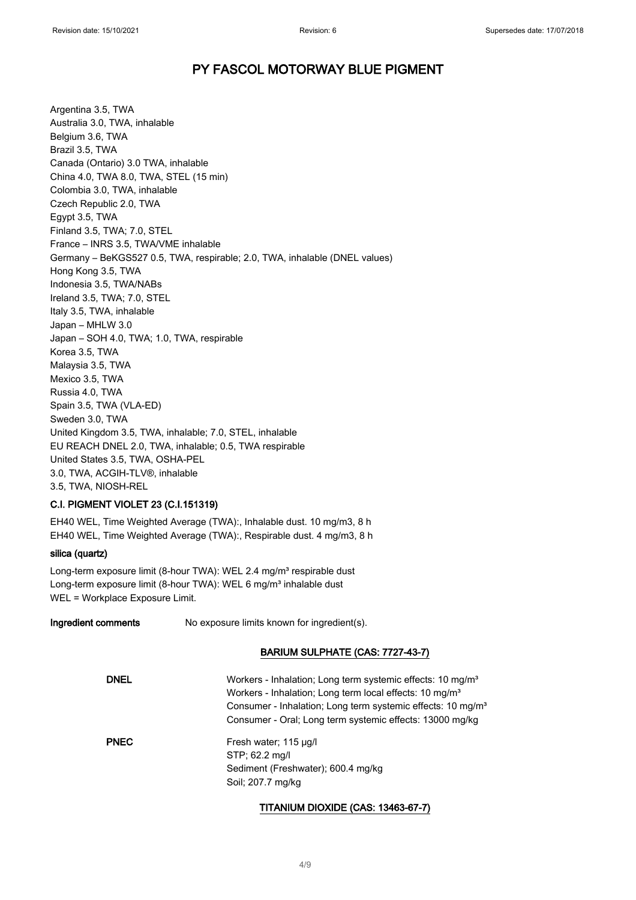Argentina 3.5, TWA Australia 3.0, TWA, inhalable Belgium 3.6, TWA Brazil 3.5, TWA Canada (Ontario) 3.0 TWA, inhalable China 4.0, TWA 8.0, TWA, STEL (15 min) Colombia 3.0, TWA, inhalable Czech Republic 2.0, TWA Egypt 3.5, TWA Finland 3.5, TWA; 7.0, STEL France – INRS 3.5, TWA/VME inhalable Germany – BeKGS527 0.5, TWA, respirable; 2.0, TWA, inhalable (DNEL values) Hong Kong 3.5, TWA Indonesia 3.5, TWA/NABs Ireland 3.5, TWA; 7.0, STEL Italy 3.5, TWA, inhalable Japan – MHLW 3.0 Japan – SOH 4.0, TWA; 1.0, TWA, respirable Korea 3.5, TWA Malaysia 3.5, TWA Mexico 3.5, TWA Russia 4.0, TWA Spain 3.5, TWA (VLA-ED) Sweden 3.0, TWA United Kingdom 3.5, TWA, inhalable; 7.0, STEL, inhalable EU REACH DNEL 2.0, TWA, inhalable; 0.5, TWA respirable United States 3.5, TWA, OSHA-PEL 3.0, TWA, ACGIH-TLV®, inhalable 3.5, TWA, NIOSH-REL

# C.I. PIGMENT VIOLET 23 (C.I.151319)

EH40 WEL, Time Weighted Average (TWA):, Inhalable dust. 10 mg/m3, 8 h EH40 WEL, Time Weighted Average (TWA):, Respirable dust. 4 mg/m3, 8 h

### silica (quartz)

Long-term exposure limit (8-hour TWA): WEL 2.4 mg/m<sup>3</sup> respirable dust Long-term exposure limit (8-hour TWA): WEL 6 mg/m<sup>3</sup> inhalable dust WEL = Workplace Exposure Limit.

Ingredient comments No exposure limits known for ingredient(s).

### BARIUM SULPHATE (CAS: 7727-43-7)

| <b>DNEL</b> | Workers - Inhalation; Long term systemic effects: 10 mg/m <sup>3</sup><br>Workers - Inhalation; Long term local effects: 10 mg/m <sup>3</sup><br>Consumer - Inhalation; Long term systemic effects: 10 mg/m <sup>3</sup><br>Consumer - Oral: Long term systemic effects: 13000 mg/kg |
|-------------|--------------------------------------------------------------------------------------------------------------------------------------------------------------------------------------------------------------------------------------------------------------------------------------|
| <b>PNEC</b> | Fresh water; 115 µg/l<br>STP: 62.2 mg/l<br>Sediment (Freshwater); 600.4 mg/kg<br>Soil: 207.7 mg/kg                                                                                                                                                                                   |

### TITANIUM DIOXIDE (CAS: 13463-67-7)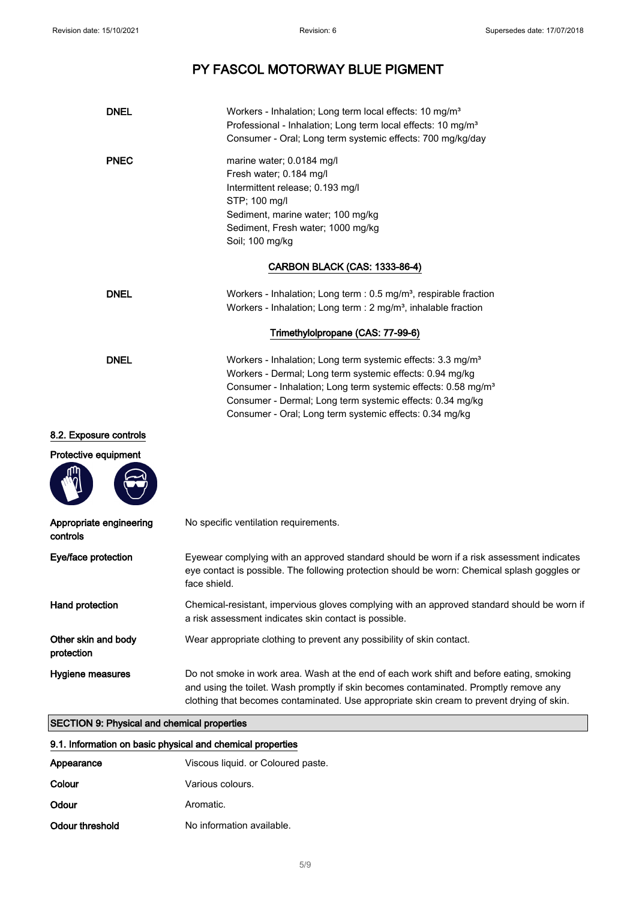| <b>DNEL</b>                         | Workers - Inhalation; Long term local effects: 10 mg/m <sup>3</sup><br>Professional - Inhalation; Long term local effects: 10 mg/m <sup>3</sup><br>Consumer - Oral; Long term systemic effects: 700 mg/kg/day                                                                                                                            |
|-------------------------------------|------------------------------------------------------------------------------------------------------------------------------------------------------------------------------------------------------------------------------------------------------------------------------------------------------------------------------------------|
| <b>PNEC</b>                         | marine water; 0.0184 mg/l<br>Fresh water; 0.184 mg/l<br>Intermittent release; 0.193 mg/l<br>STP; 100 mg/l<br>Sediment, marine water; 100 mg/kg<br>Sediment, Fresh water; 1000 mg/kg<br>Soil; 100 mg/kg                                                                                                                                   |
|                                     | <b>CARBON BLACK (CAS: 1333-86-4)</b>                                                                                                                                                                                                                                                                                                     |
| <b>DNEL</b>                         | Workers - Inhalation; Long term : $0.5$ mg/m <sup>3</sup> , respirable fraction<br>Workers - Inhalation; Long term : 2 mg/m <sup>3</sup> , inhalable fraction                                                                                                                                                                            |
|                                     | Trimethylolpropane (CAS: 77-99-6)                                                                                                                                                                                                                                                                                                        |
| <b>DNEL</b>                         | Workers - Inhalation; Long term systemic effects: 3.3 mg/m <sup>3</sup><br>Workers - Dermal; Long term systemic effects: 0.94 mg/kg<br>Consumer - Inhalation; Long term systemic effects: 0.58 mg/m <sup>3</sup><br>Consumer - Dermal; Long term systemic effects: 0.34 mg/kg<br>Consumer - Oral; Long term systemic effects: 0.34 mg/kg |
| 8.2. Exposure controls              |                                                                                                                                                                                                                                                                                                                                          |
| Protective equipment                |                                                                                                                                                                                                                                                                                                                                          |
| Appropriate engineering<br>controls | No specific ventilation requirements.                                                                                                                                                                                                                                                                                                    |
| Eye/face protection                 | Eyewear complying with an approved standard should be worn if a risk assessment indicates<br>eye contact is possible. The following protection should be worn: Chemical splash goggles or<br>face shield.                                                                                                                                |
| Hand protection                     | Chemical-resistant, impervious gloves complying with an approved standard should be worn if<br>a risk assessment indicates skin contact is possible.                                                                                                                                                                                     |
| Other skin and body<br>protection   | Wear appropriate clothing to prevent any possibility of skin contact.                                                                                                                                                                                                                                                                    |
| Hygiene measures                    | Do not smoke in work area. Wash at the end of each work shift and before eating, smoking<br>and using the toilet. Wash promptly if skin becomes contaminated. Promptly remove any<br>clothing that becomes contaminated. Use appropriate skin cream to prevent drying of skin.                                                           |

# SECTION 9: Physical and chemical properties

# 9.1. Information on basic physical and chemical properties

| Appearance      | Viscous liquid. or Coloured paste. |
|-----------------|------------------------------------|
| Colour          | Various colours.                   |
| Odour           | Aromatic.                          |
| Odour threshold | No information available.          |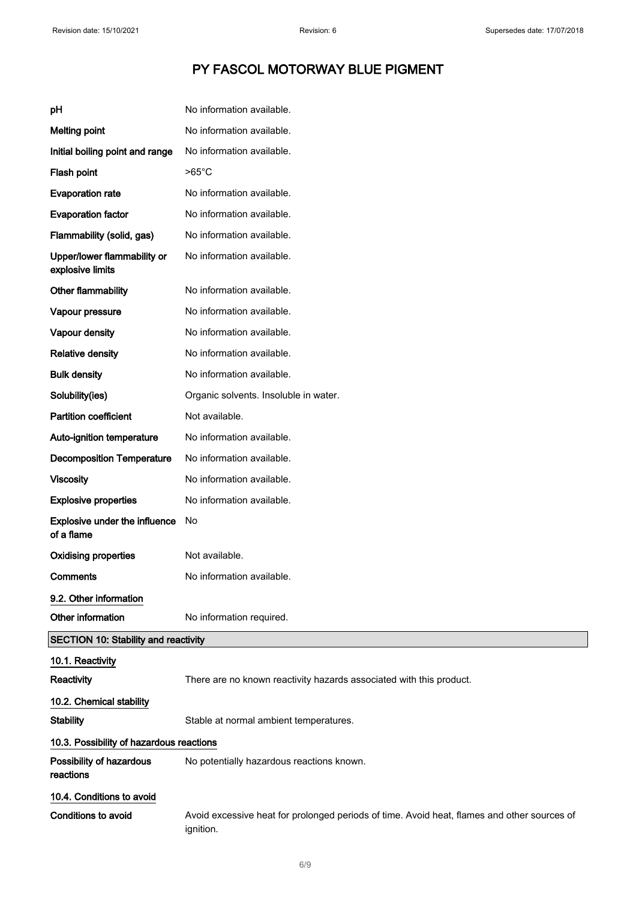| рH                                              | No information available.                                                                                |
|-------------------------------------------------|----------------------------------------------------------------------------------------------------------|
| <b>Melting point</b>                            | No information available.                                                                                |
| Initial boiling point and range                 | No information available.                                                                                |
| Flash point                                     | $>65^{\circ}$ C                                                                                          |
| <b>Evaporation rate</b>                         | No information available.                                                                                |
| <b>Evaporation factor</b>                       | No information available.                                                                                |
| Flammability (solid, gas)                       | No information available.                                                                                |
| Upper/lower flammability or<br>explosive limits | No information available.                                                                                |
| Other flammability                              | No information available.                                                                                |
| Vapour pressure                                 | No information available.                                                                                |
| Vapour density                                  | No information available.                                                                                |
| <b>Relative density</b>                         | No information available.                                                                                |
| <b>Bulk density</b>                             | No information available.                                                                                |
| Solubility(ies)                                 | Organic solvents. Insoluble in water.                                                                    |
| <b>Partition coefficient</b>                    | Not available.                                                                                           |
| Auto-ignition temperature                       | No information available.                                                                                |
| <b>Decomposition Temperature</b>                | No information available.                                                                                |
| <b>Viscosity</b>                                | No information available.                                                                                |
| <b>Explosive properties</b>                     | No information available.                                                                                |
| Explosive under the influence<br>of a flame     | No.                                                                                                      |
| <b>Oxidising properties</b>                     | Not available.                                                                                           |
| Comments                                        | No information available.                                                                                |
| 9.2. Other information                          |                                                                                                          |
| Other information                               | No information required.                                                                                 |
| <b>SECTION 10: Stability and reactivity</b>     |                                                                                                          |
| 10.1. Reactivity                                |                                                                                                          |
| Reactivity                                      | There are no known reactivity hazards associated with this product.                                      |
| 10.2. Chemical stability                        |                                                                                                          |
| <b>Stability</b>                                | Stable at normal ambient temperatures.                                                                   |
| 10.3. Possibility of hazardous reactions        |                                                                                                          |
| Possibility of hazardous<br>reactions           | No potentially hazardous reactions known.                                                                |
| 10.4. Conditions to avoid                       |                                                                                                          |
| <b>Conditions to avoid</b>                      | Avoid excessive heat for prolonged periods of time. Avoid heat, flames and other sources of<br>ignition. |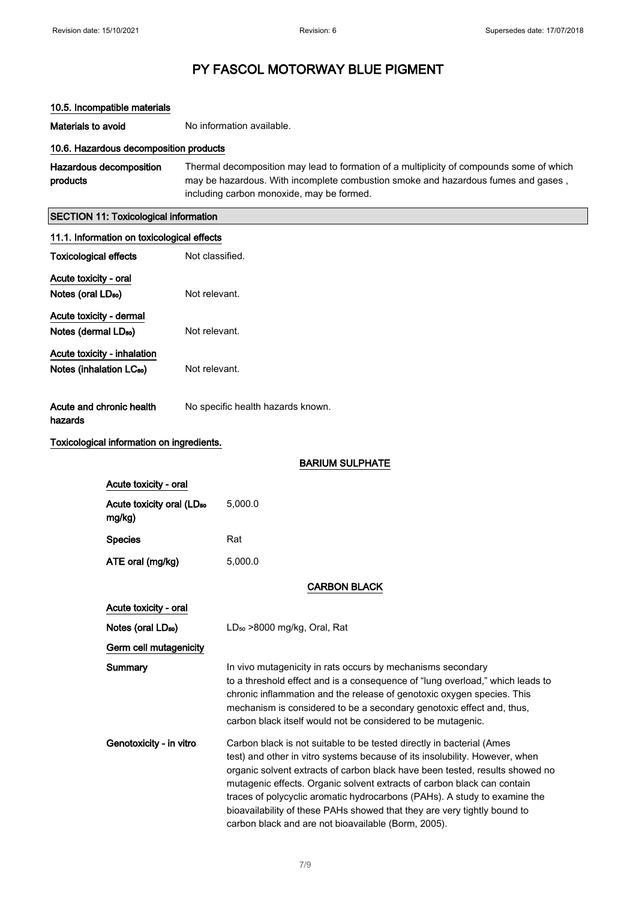# PY FASCOL MOTORWAY BLUE PIGMENT

# 10.5. Incompatible materials

Materials to avoid No information available.

### 10.6. Hazardous decomposition products

Hazardous decomposition products Thermal decomposition may lead to formation of a multiplicity of compounds some of which may be hazardous. With incomplete combustion smoke and hazardous fumes and gases , including carbon monoxide, may be formed.

# SECTION 11: Toxicological information

| 11.1. Information on toxicological effects      |                 |                                                                                                                                                                                                                                                                                                                                                                                                                                                                                                                                 |
|-------------------------------------------------|-----------------|---------------------------------------------------------------------------------------------------------------------------------------------------------------------------------------------------------------------------------------------------------------------------------------------------------------------------------------------------------------------------------------------------------------------------------------------------------------------------------------------------------------------------------|
| <b>Toxicological effects</b>                    | Not classified. |                                                                                                                                                                                                                                                                                                                                                                                                                                                                                                                                 |
| Acute toxicity - oral                           |                 |                                                                                                                                                                                                                                                                                                                                                                                                                                                                                                                                 |
| Notes (oral LD <sub>50</sub> )                  | Not relevant.   |                                                                                                                                                                                                                                                                                                                                                                                                                                                                                                                                 |
| Acute toxicity - dermal                         |                 |                                                                                                                                                                                                                                                                                                                                                                                                                                                                                                                                 |
| Notes (dermal LD <sub>50</sub> )                | Not relevant.   |                                                                                                                                                                                                                                                                                                                                                                                                                                                                                                                                 |
| Acute toxicity - inhalation                     |                 |                                                                                                                                                                                                                                                                                                                                                                                                                                                                                                                                 |
| Notes (inhalation LC <sub>50</sub> )            | Not relevant.   |                                                                                                                                                                                                                                                                                                                                                                                                                                                                                                                                 |
| Acute and chronic health<br>hazards             |                 | No specific health hazards known.                                                                                                                                                                                                                                                                                                                                                                                                                                                                                               |
| Toxicological information on ingredients.       |                 |                                                                                                                                                                                                                                                                                                                                                                                                                                                                                                                                 |
|                                                 |                 | <b>BARIUM SULPHATE</b>                                                                                                                                                                                                                                                                                                                                                                                                                                                                                                          |
| Acute toxicity - oral                           |                 |                                                                                                                                                                                                                                                                                                                                                                                                                                                                                                                                 |
| Acute toxicity oral (LD <sub>50</sub><br>mg/kg) |                 | 5,000.0                                                                                                                                                                                                                                                                                                                                                                                                                                                                                                                         |
| <b>Species</b>                                  |                 | Rat                                                                                                                                                                                                                                                                                                                                                                                                                                                                                                                             |
| ATE oral (mg/kg)                                |                 | 5,000.0                                                                                                                                                                                                                                                                                                                                                                                                                                                                                                                         |
|                                                 |                 | <b>CARBON BLACK</b>                                                                                                                                                                                                                                                                                                                                                                                                                                                                                                             |
| Acute toxicity - oral                           |                 |                                                                                                                                                                                                                                                                                                                                                                                                                                                                                                                                 |
| Notes (oral LD <sub>50</sub> )                  |                 | LD <sub>50</sub> >8000 mg/kg, Oral, Rat                                                                                                                                                                                                                                                                                                                                                                                                                                                                                         |
| Germ cell mutagenicity                          |                 |                                                                                                                                                                                                                                                                                                                                                                                                                                                                                                                                 |
| Summary                                         |                 | In vivo mutagenicity in rats occurs by mechanisms secondary<br>to a threshold effect and is a consequence of "lung overload," which leads to<br>chronic inflammation and the release of genotoxic oxygen species. This<br>mechanism is considered to be a secondary genotoxic effect and, thus,<br>carbon black itself would not be considered to be mutagenic.                                                                                                                                                                 |
| Genotoxicity - in vitro                         |                 | Carbon black is not suitable to be tested directly in bacterial (Ames<br>test) and other in vitro systems because of its insolubility. However, when<br>organic solvent extracts of carbon black have been tested, results showed no<br>mutagenic effects. Organic solvent extracts of carbon black can contain<br>traces of polycyclic aromatic hydrocarbons (PAHs). A study to examine the<br>bioavailability of these PAHs showed that they are very tightly bound to<br>carbon black and are not bioavailable (Borm, 2005). |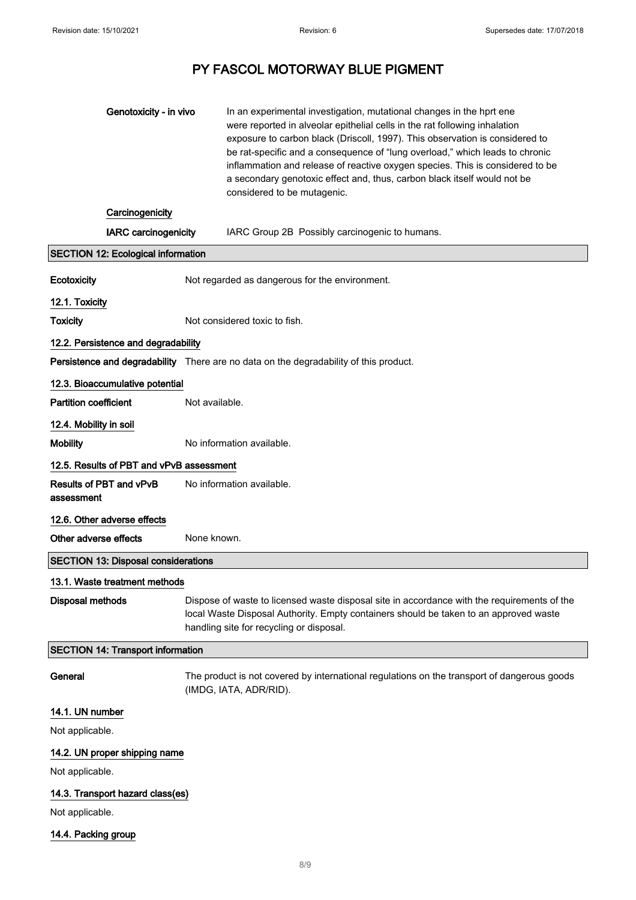| Genotoxicity - in vivo                       | In an experimental investigation, mutational changes in the hprt ene<br>were reported in alveolar epithelial cells in the rat following inhalation<br>exposure to carbon black (Driscoll, 1997). This observation is considered to<br>be rat-specific and a consequence of "lung overload," which leads to chronic<br>inflammation and release of reactive oxygen species. This is considered to be<br>a secondary genotoxic effect and, thus, carbon black itself would not be<br>considered to be mutagenic. |  |
|----------------------------------------------|----------------------------------------------------------------------------------------------------------------------------------------------------------------------------------------------------------------------------------------------------------------------------------------------------------------------------------------------------------------------------------------------------------------------------------------------------------------------------------------------------------------|--|
| Carcinogenicity                              |                                                                                                                                                                                                                                                                                                                                                                                                                                                                                                                |  |
| <b>IARC</b> carcinogenicity                  | IARC Group 2B Possibly carcinogenic to humans.                                                                                                                                                                                                                                                                                                                                                                                                                                                                 |  |
| <b>SECTION 12: Ecological information</b>    |                                                                                                                                                                                                                                                                                                                                                                                                                                                                                                                |  |
| Ecotoxicity                                  | Not regarded as dangerous for the environment.                                                                                                                                                                                                                                                                                                                                                                                                                                                                 |  |
| 12.1. Toxicity                               |                                                                                                                                                                                                                                                                                                                                                                                                                                                                                                                |  |
| <b>Toxicity</b>                              | Not considered toxic to fish.                                                                                                                                                                                                                                                                                                                                                                                                                                                                                  |  |
| 12.2. Persistence and degradability          |                                                                                                                                                                                                                                                                                                                                                                                                                                                                                                                |  |
|                                              | Persistence and degradability There are no data on the degradability of this product.                                                                                                                                                                                                                                                                                                                                                                                                                          |  |
| 12.3. Bioaccumulative potential              |                                                                                                                                                                                                                                                                                                                                                                                                                                                                                                                |  |
| <b>Partition coefficient</b>                 | Not available.                                                                                                                                                                                                                                                                                                                                                                                                                                                                                                 |  |
| 12.4. Mobility in soil                       |                                                                                                                                                                                                                                                                                                                                                                                                                                                                                                                |  |
| <b>Mobility</b>                              | No information available.                                                                                                                                                                                                                                                                                                                                                                                                                                                                                      |  |
| 12.5. Results of PBT and vPvB assessment     |                                                                                                                                                                                                                                                                                                                                                                                                                                                                                                                |  |
| <b>Results of PBT and vPvB</b><br>assessment | No information available.                                                                                                                                                                                                                                                                                                                                                                                                                                                                                      |  |
| 12.6. Other adverse effects                  |                                                                                                                                                                                                                                                                                                                                                                                                                                                                                                                |  |
| Other adverse effects                        | None known.                                                                                                                                                                                                                                                                                                                                                                                                                                                                                                    |  |
| <b>SECTION 13: Disposal considerations</b>   |                                                                                                                                                                                                                                                                                                                                                                                                                                                                                                                |  |
| 13.1. Waste treatment methods                |                                                                                                                                                                                                                                                                                                                                                                                                                                                                                                                |  |
| <b>Disposal methods</b>                      | Dispose of waste to licensed waste disposal site in accordance with the requirements of the<br>local Waste Disposal Authority. Empty containers should be taken to an approved waste<br>handling site for recycling or disposal.                                                                                                                                                                                                                                                                               |  |
| <b>SECTION 14: Transport information</b>     |                                                                                                                                                                                                                                                                                                                                                                                                                                                                                                                |  |
| General                                      | The product is not covered by international regulations on the transport of dangerous goods<br>(IMDG, IATA, ADR/RID).                                                                                                                                                                                                                                                                                                                                                                                          |  |
| 14.1. UN number                              |                                                                                                                                                                                                                                                                                                                                                                                                                                                                                                                |  |
| Not applicable.                              |                                                                                                                                                                                                                                                                                                                                                                                                                                                                                                                |  |
| 14.2. UN proper shipping name                |                                                                                                                                                                                                                                                                                                                                                                                                                                                                                                                |  |
| Not applicable.                              |                                                                                                                                                                                                                                                                                                                                                                                                                                                                                                                |  |
| 14.3. Transport hazard class(es)             |                                                                                                                                                                                                                                                                                                                                                                                                                                                                                                                |  |
| Not applicable.                              |                                                                                                                                                                                                                                                                                                                                                                                                                                                                                                                |  |
| 14.4. Packing group                          |                                                                                                                                                                                                                                                                                                                                                                                                                                                                                                                |  |